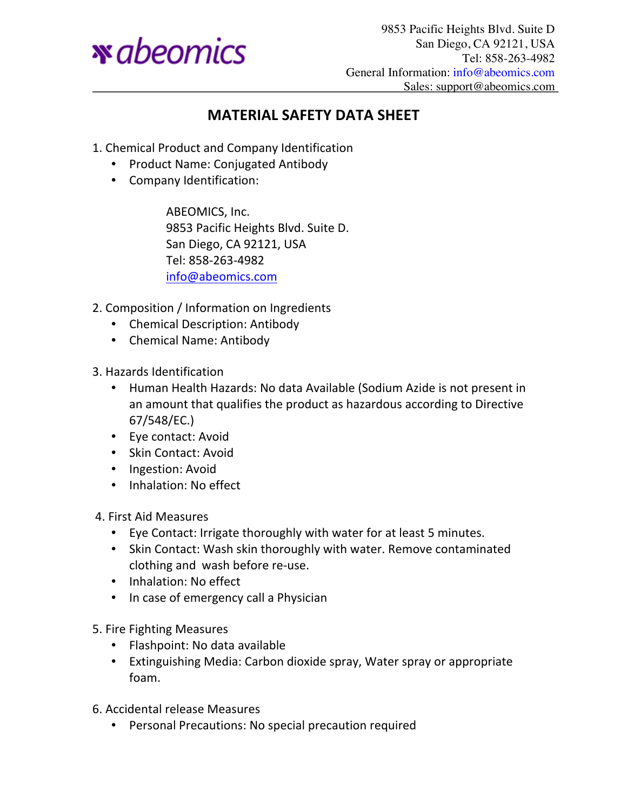

9853 Pacific Heights Blvd. Suite D San Diego, CA 92121, USA Tel: 858-263-4982 General Information: info@abeomics.com Sales: support@abeomics.com

## **MATERIAL SAFETY DATA SHEET**

- 1. Chemical Product and Company Identification
	- Product Name: Conjugated Antibody
	- Company Identification:

ABEOMICS, Inc. 9853 Pacific Heights Blvd. Suite D. San Diego, CA 92121, USA Tel: 858-263-4982 info@abeomics.com

- 2. Composition / Information on Ingredients
	- Chemical Description: Antibody
	- Chemical Name: Antibody
- 3. Hazards Identification
	- Human Health Hazards: No data Available (Sodium Azide is not present in an amount that qualifies the product as hazardous according to Directive 67/548/EC.)
	- Eye contact: Avoid
	- Skin Contact: Avoid
	- Ingestion: Avoid
	- Inhalation: No effect
- 4. First Aid Measures
	- Eye Contact: Irrigate thoroughly with water for at least 5 minutes.
	- Skin Contact: Wash skin thoroughly with water. Remove contaminated clothing and wash before re-use.
	- Inhalation: No effect
	- In case of emergency call a Physician
- 5. Fire Fighting Measures
	- Flashpoint: No data available
	- Extinguishing Media: Carbon dioxide spray, Water spray or appropriate foam.
- 6. Accidental release Measures
	- Personal Precautions: No special precaution required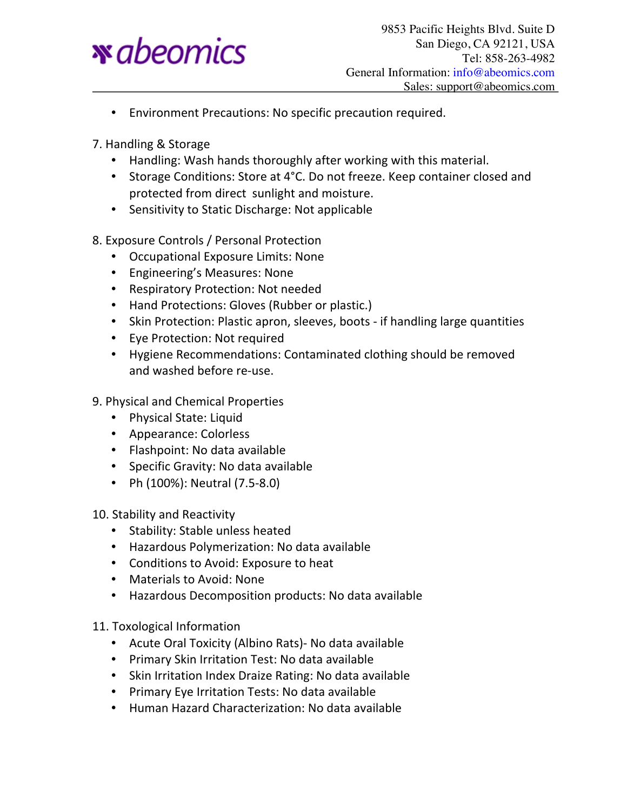

- Environment Precautions: No specific precaution required.
- 7. Handling & Storage
	- Handling: Wash hands thoroughly after working with this material.
	- Storage Conditions: Store at 4°C. Do not freeze. Keep container closed and protected from direct sunlight and moisture.
	- Sensitivity to Static Discharge: Not applicable
- 8. Exposure Controls / Personal Protection
	- Occupational Exposure Limits: None
	- Engineering's Measures: None
	- Respiratory Protection: Not needed
	- Hand Protections: Gloves (Rubber or plastic.)
	- Skin Protection: Plastic apron, sleeves, boots if handling large quantities
	- Eye Protection: Not required
	- Hygiene Recommendations: Contaminated clothing should be removed and washed before re-use.
- 9. Physical and Chemical Properties
	- Physical State: Liquid
	- Appearance: Colorless
	- Flashpoint: No data available
	- Specific Gravity: No data available
	- Ph  $(100\%)$ : Neutral  $(7.5-8.0)$

10. Stability and Reactivity

- Stability: Stable unless heated
- Hazardous Polymerization: No data available
- Conditions to Avoid: Exposure to heat
- Materials to Avoid: None
- Hazardous Decomposition products: No data available

11. Toxological Information

- Acute Oral Toxicity (Albino Rats)- No data available
- Primary Skin Irritation Test: No data available
- Skin Irritation Index Draize Rating: No data available
- Primary Eye Irritation Tests: No data available
- Human Hazard Characterization: No data available